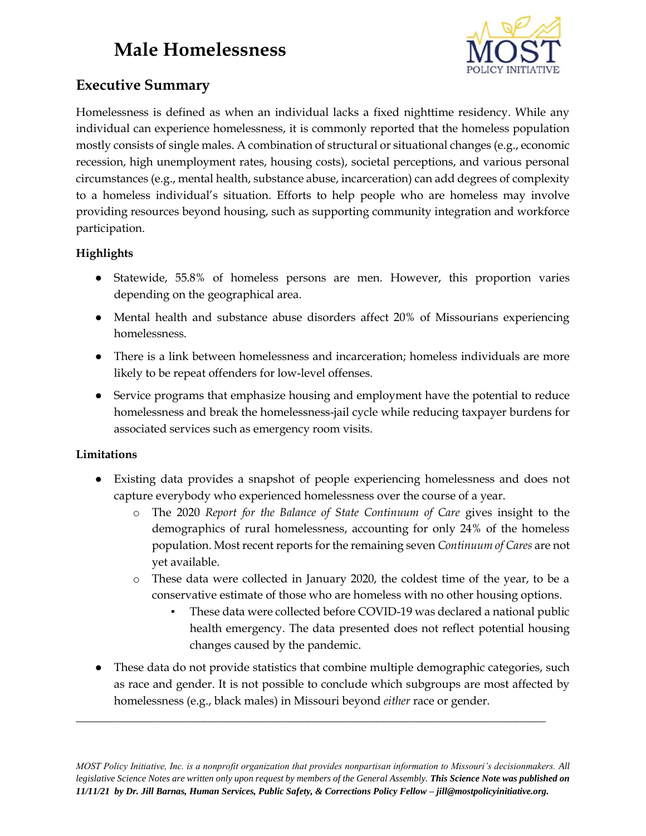# **Male Homelessness**



## **Executive Summary**

Homelessness is defined as when an individual lacks a fixed nighttime residency. While any individual can experience homelessness, it is commonly reported that the homeless population mostly consists of single males. A combination of structural or situational changes (e.g., economic recession, high unemployment rates, housing costs), societal perceptions, and various personal circumstances (e.g., mental health, substance abuse, incarceration) can add degrees of complexity to a homeless individual's situation. Efforts to help people who are homeless may involve providing resources beyond housing, such as supporting community integration and workforce participation.

### **Highlights**

- Statewide, 55.8% of homeless persons are men. However, this proportion varies depending on the geographical area.
- Mental health and substance abuse disorders affect 20% of Missourians experiencing homelessness.
- There is a link between homelessness and incarceration; homeless individuals are more likely to be repeat offenders for low-level offenses.
- Service programs that emphasize housing and employment have the potential to reduce homelessness and break the homelessness-jail cycle while reducing taxpayer burdens for associated services such as emergency room visits.

#### **Limitations**

- Existing data provides a snapshot of people experiencing homelessness and does not capture everybody who experienced homelessness over the course of a year.
	- o The 2020 *Report for the Balance of State Continuum of Care* gives insight to the demographics of rural homelessness, accounting for only 24% of the homeless population. Most recent reports for the remaining seven *Continuum of Cares* are not yet available.
	- o These data were collected in January 2020, the coldest time of the year, to be a conservative estimate of those who are homeless with no other housing options.
		- These data were collected before COVID-19 was declared a national public health emergency. The data presented does not reflect potential housing changes caused by the pandemic.
- These data do not provide statistics that combine multiple demographic categories, such as race and gender. It is not possible to conclude which subgroups are most affected by homelessness (e.g., black males) in Missouri beyond *either* race or gender.

**\_\_\_\_\_\_\_\_\_\_\_\_\_\_\_\_\_\_\_\_\_\_\_\_\_\_\_\_\_\_\_\_\_\_\_\_\_\_\_\_\_\_\_\_\_\_\_\_\_\_\_\_\_\_\_\_\_\_\_\_\_\_\_\_\_\_\_\_\_\_\_\_\_\_\_\_\_\_\_\_\_**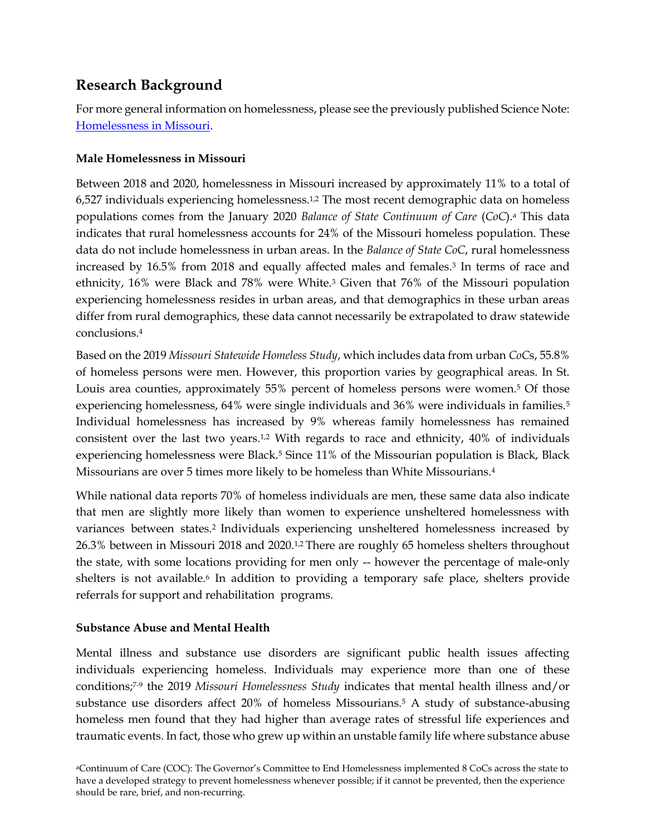## **Research Background**

For more general information on homelessness, please see the previously published Science Note: [Homelessness in Missouri.](https://mostpolicyinitiative.org/science-note/homelessness/)

#### **Male Homelessness in Missouri**

Between 2018 and 2020, homelessness in Missouri increased by approximately 11% to a total of 6,527 individuals experiencing homelessness.1,2 The most recent demographic data on homeless populations comes from the January 2020 *Balance of State Continuum of Care* (*CoC*).<sup>a</sup> This data indicates that rural homelessness accounts for 24% of the Missouri homeless population. These data do not include homelessness in urban areas. In the *Balance of State CoC*, rural homelessness increased by 16.5% from 2018 and equally affected males and females.<sup>3</sup> In terms of race and ethnicity, 16% were Black and 78% were White.<sup>3</sup> Given that 76% of the Missouri population experiencing homelessness resides in urban areas, and that demographics in these urban areas differ from rural demographics, these data cannot necessarily be extrapolated to draw statewide conclusions.<sup>4</sup>

Based on the 2019 *Missouri Statewide Homeless Study*, which includes data from urban *CoC*s, 55.8% of homeless persons were men. However, this proportion varies by geographical areas. In St. Louis area counties, approximately 55% percent of homeless persons were women.<sup>5</sup> Of those experiencing homelessness, 64% were single individuals and 36% were individuals in families.<sup>5</sup> Individual homelessness has increased by 9% whereas family homelessness has remained consistent over the last two years.<sup>1,2</sup> With regards to race and ethnicity,  $40\%$  of individuals experiencing homelessness were Black.<sup>5</sup> Since 11% of the Missourian population is Black, Black Missourians are over 5 times more likely to be homeless than White Missourians.<sup>4</sup>

While national data reports 70% of homeless individuals are men, these same data also indicate that men are slightly more likely than women to experience unsheltered homelessness with variances between states.2 Individuals experiencing unsheltered homelessness increased by 26.3% between in Missouri 2018 and 2020.1,2 There are roughly 65 homeless shelters throughout the state, with some locations providing for men only -- however the percentage of male-only shelters is not available.<sup>6</sup> In addition to providing a temporary safe place, shelters provide referrals for support and rehabilitation programs.

#### **Substance Abuse and Mental Health**

Mental illness and substance use disorders are significant public health issues affecting individuals experiencing homeless. Individuals may experience more than one of these conditions;7-9 the 2019 *Missouri Homelessness Study* indicates that mental health illness and/or substance use disorders affect 20% of homeless Missourians.<sup>5</sup> A study of substance-abusing homeless men found that they had higher than average rates of stressful life experiences and traumatic events. In fact, those who grew up within an unstable family life where substance abuse

<sup>a</sup>Continuum of Care (COC): The Governor's Committee to End Homelessness implemented 8 CoCs across the state to have a developed strategy to prevent homelessness whenever possible; if it cannot be prevented, then the experience should be rare, brief, and non-recurring.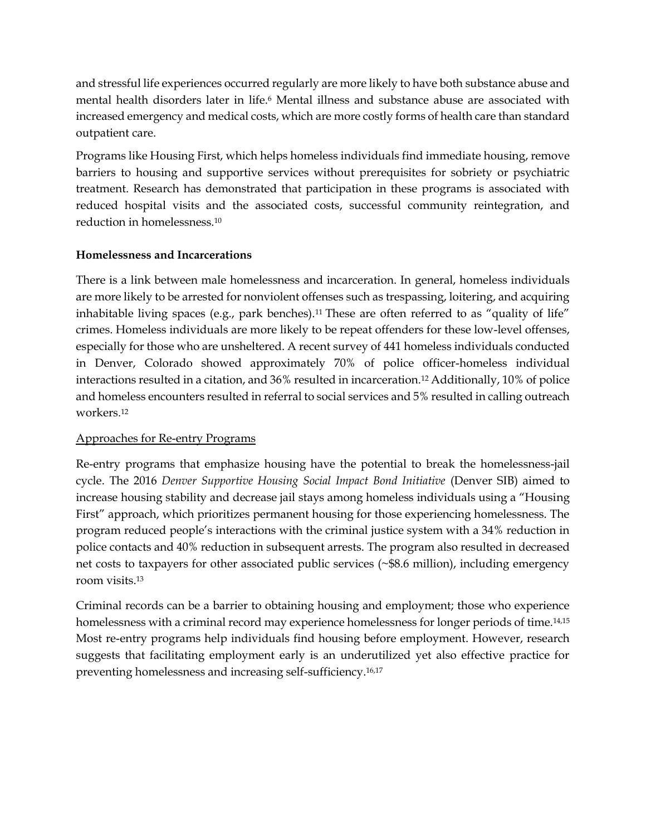and stressful life experiences occurred regularly are more likely to have both substance abuse and mental health disorders later in life.<sup>6</sup> Mental illness and substance abuse are associated with increased emergency and medical costs, which are more costly forms of health care than standard outpatient care.

Programs like Housing First, which helps homeless individuals find immediate housing, remove barriers to housing and supportive services without prerequisites for sobriety or psychiatric treatment. Research has demonstrated that participation in these programs is associated with reduced hospital visits and the associated costs, successful community reintegration, and reduction in homelessness.<sup>10</sup>

#### **Homelessness and Incarcerations**

There is a link between male homelessness and incarceration. In general, homeless individuals are more likely to be arrested for nonviolent offenses such as trespassing, loitering, and acquiring inhabitable living spaces (e.g., park benches).<sup>11</sup> These are often referred to as "quality of life" crimes. Homeless individuals are more likely to be repeat offenders for these low-level offenses, especially for those who are unsheltered. A recent survey of 441 homeless individuals conducted in Denver, Colorado showed approximately 70% of police officer-homeless individual interactions resulted in a citation, and 36% resulted in incarceration.<sup>12</sup> Additionally, 10% of police and homeless encounters resulted in referral to social services and 5% resulted in calling outreach workers.<sup>12</sup>

### Approaches for Re-entry Programs

Re-entry programs that emphasize housing have the potential to break the homelessness-jail cycle. The 2016 *Denver Supportive Housing Social Impact Bond Initiative* (Denver SIB) aimed to increase housing stability and decrease jail stays among homeless individuals using a "Housing First" approach, which prioritizes permanent housing for those experiencing homelessness. The program reduced people's interactions with the criminal justice system with a 34% reduction in police contacts and 40% reduction in subsequent arrests. The program also resulted in decreased net costs to taxpayers for other associated public services (~\$8.6 million), including emergency room visits.<sup>13</sup>

Criminal records can be a barrier to obtaining housing and employment; those who experience homelessness with a criminal record may experience homelessness for longer periods of time.<sup>14,15</sup> Most re-entry programs help individuals find housing before employment. However, research suggests that facilitating employment early is an underutilized yet also effective practice for preventing homelessness and increasing self-sufficiency.16,17